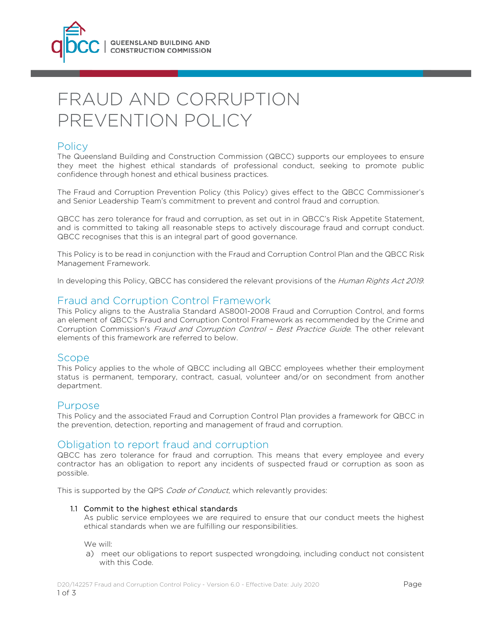

# FRAUD AND CORRUPTION PREVENTION POLICY

# **Policy**

The Queensland Building and Construction Commission (QBCC) supports our employees to ensure they meet the highest ethical standards of professional conduct, seeking to promote public confidence through honest and ethical business practices.

The Fraud and Corruption Prevention Policy (this Policy) gives effect to the QBCC Commissioner's and Senior Leadership Team's commitment to prevent and control fraud and corruption.

QBCC has zero tolerance for fraud and corruption, as set out in in QBCC's Risk Appetite Statement, and is committed to taking all reasonable steps to actively discourage fraud and corrupt conduct. QBCC recognises that this is an integral part of good governance.

This Policy is to be read in conjunction with the Fraud and Corruption Control Plan and the QBCC Risk Management Framework.

In developing this Policy, QBCC has considered the relevant provisions of the Human Rights Act 2019.

## Fraud and Corruption Control Framework

This Policy aligns to the Australia Standard AS8001-2008 Fraud and Corruption Control, and forms an element of QBCC's Fraud and Corruption Control Framework as recommended by the Crime and Corruption Commission's Fraud and Corruption Control – Best Practice Guide. The other relevant elements of this framework are referred to below.

# Scope

This Policy applies to the whole of QBCC including all QBCC employees whether their employment status is permanent, temporary, contract, casual, volunteer and/or on secondment from another department.

## Purpose

This Policy and the associated Fraud and Corruption Control Plan provides a framework for QBCC in the prevention, detection, reporting and management of fraud and corruption.

# Obligation to report fraud and corruption

QBCC has zero tolerance for fraud and corruption. This means that every employee and every contractor has an obligation to report any incidents of suspected fraud or corruption as soon as possible.

This is supported by the QPS Code of Conduct, which relevantly provides:

#### 1.1 Commit to the highest ethical standards

As public service employees we are required to ensure that our conduct meets the highest ethical standards when we are fulfilling our responsibilities.

We will:

a) meet our obligations to report suspected wrongdoing, including conduct not consistent with this Code.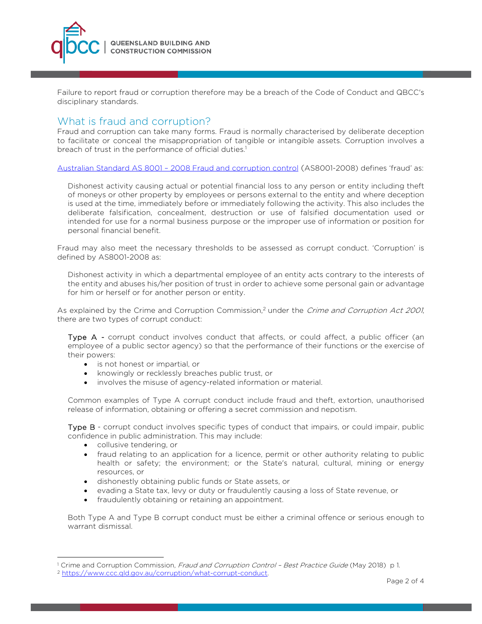

Failure to report fraud or corruption therefore may be a breach of the Code of Conduct and QBCC's disciplinary standards.

## What is fraud and corruption?

Fraud and corruption can take many forms. Fraud is normally characterised by deliberate deception to facilitate or conceal the misappropriation of tangible or intangible assets. Corruption involves a breach of trust in the performance of official duties.<sup>1</sup>

Australian Standard AS 8001 – 2008 Fraud and corruption control (AS8001-2008) defines 'fraud' as:

Dishonest activity causing actual or potential financial loss to any person or entity including theft of moneys or other property by employees or persons external to the entity and where deception is used at the time, immediately before or immediately following the activity. This also includes the deliberate falsification, concealment, destruction or use of falsified documentation used or intended for use for a normal business purpose or the improper use of information or position for personal financial benefit.

Fraud may also meet the necessary thresholds to be assessed as corrupt conduct. 'Corruption' is defined by AS8001-2008 as:

Dishonest activity in which a departmental employee of an entity acts contrary to the interests of the entity and abuses his/her position of trust in order to achieve some personal gain or advantage for him or herself or for another person or entity.

As explained by the Crime and Corruption Commission,<sup>2</sup> under the *Crime and Corruption Act 2001*, there are two types of corrupt conduct:

Type A - corrupt conduct involves conduct that affects, or could affect, a public officer (an employee of a public sector agency) so that the performance of their functions or the exercise of their powers:

- is not honest or impartial, or
- knowingly or recklessly breaches public trust, or
- involves the misuse of agency-related information or material.

Common examples of Type A corrupt conduct include fraud and theft, extortion, unauthorised release of information, obtaining or offering a secret commission and nepotism.

Type B - corrupt conduct involves specific types of conduct that impairs, or could impair, public confidence in public administration. This may include:

collusive tendering, or

 $\overline{a}$ 

- fraud relating to an application for a licence, permit or other authority relating to public health or safety; the environment; or the State's natural, cultural, mining or energy resources, or
- dishonestly obtaining public funds or State assets, or
- evading a State tax, levy or duty or fraudulently causing a loss of State revenue, or
- fraudulently obtaining or retaining an appointment.

Both Type A and Type B corrupt conduct must be either a criminal offence or serious enough to warrant dismissal.

<sup>&</sup>lt;sup>1</sup> Crime and Corruption Commission, Fraud and Corruption Control - Best Practice Guide (May 2018) p 1.

<sup>2</sup> https://www.ccc.qld.gov.au/corruption/what-corrupt-conduct.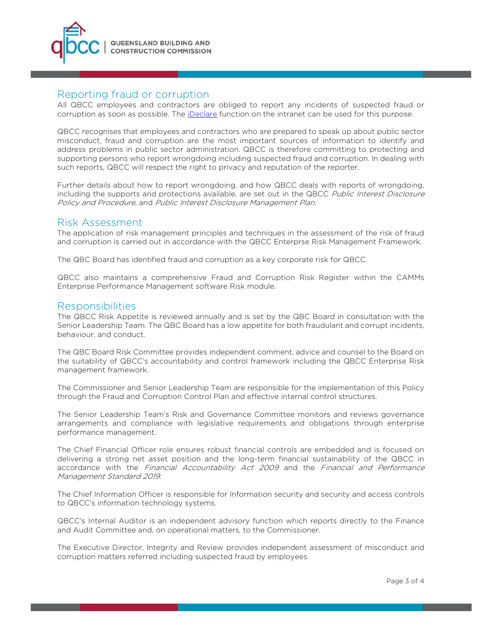

# Reporting fraud or corruption

All QBCC employees and contractors are obliged to report any incidents of suspected fraud or corruption as soon as possible. The iDeclare function on the intranet can be used for this purpose.

QBCC recognises that employees and contractors who are prepared to speak up about public sector misconduct, fraud and corruption are the most important sources of information to identify and address problems in public sector administration. QBCC is therefore committing to protecting and supporting persons who report wrongdoing including suspected fraud and corruption. In dealing with such reports, QBCC will respect the right to privacy and reputation of the reporter.

Further details about how to report wrongdoing, and how QBCC deals with reports of wrongdoing, including the supports and protections available, are set out in the QBCC Public Interest Disclosure Policy and Procedure, and Public Interest Disclosure Management Plan.

## Risk Assessment

The application of risk management principles and techniques in the assessment of the risk of fraud and corruption is carried out in accordance with the QBCC Enterprse Risk Management Framework.

The QBC Board has identified fraud and corruption as a key corporate risk for QBCC.

QBCC also maintains a comprehensive Fraud and Corruption Risk Register within the CAMMs Enterprise Performance Management software Risk module.

## Responsibilities

The QBCC Risk Appetite is reviewed annually and is set by the QBC Board in consultation with the Senior Leadership Team. The QBC Board has a low appetite for both fraudulant and corrupt incidents, behaviour, and conduct.

The QBC Board Risk Committee provides independent comment, advice and counsel to the Board on the suitability of QBCC's accountability and control framework including the QBCC Enterprise Risk management framework.

The Commissioner and Senior Leadership Team are responsible for the implementation of this Policy through the Fraud and Corruption Control Plan and effective internal control structures.

The Senior Leadership Team's Risk and Governance Committee monitors and reviews governance arrangements and compliance with legislative requirements and obligations through enterprise performance management.

The Chief Financial Officer role ensures robust financial controls are embedded and is focused on delivering a strong net asset position and the long-term financial sustainability of the QBCC in accordance with the Financial Accountability Act 2009 and the Financial and Performance Management Standard 2019.

The Chief Information Officer is responsible for Information security and security and access controls to QBCC's information technology systems.

QBCC's Internal Auditor is an independent advisory function which reports directly to the Finance and Audit Committee and, on operational matters, to the Commissioner.

The Executive Director, Integrity and Review provides independent assessment of misconduct and corruption matters referred including suspected fraud by employees.